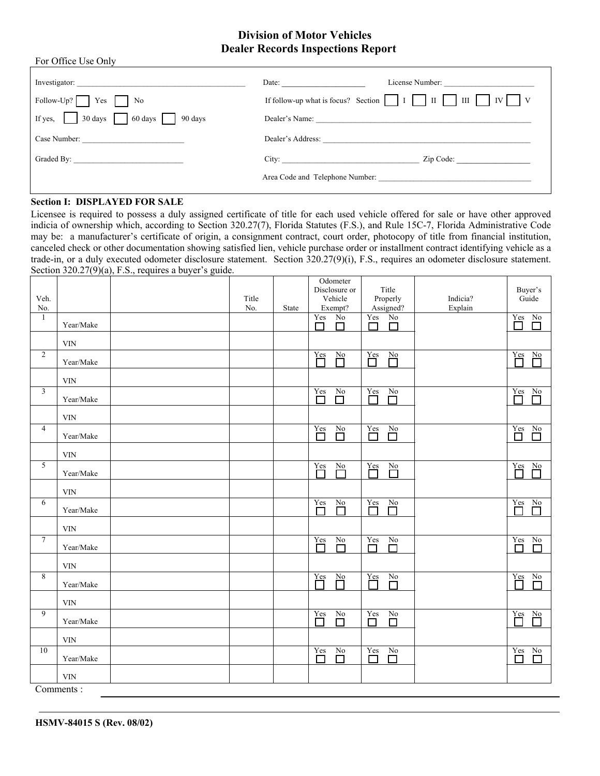# **Division of Motor Vehicles Dealer Records Inspections Report**

| For Office Use Only                                                                                                                                                             |                          |
|---------------------------------------------------------------------------------------------------------------------------------------------------------------------------------|--------------------------|
|                                                                                                                                                                                 | License Number:<br>Date: |
| Follow-Up? $\Box$ Yes $\Box$ No                                                                                                                                                 |                          |
| If yes, $\begin{array}{ c c c c c } \hline \end{array}$ 30 days $\begin{array}{ c c c c c } \hline \end{array}$ 60 days $\begin{array}{ c c c c c } \hline \end{array}$ 90 days |                          |
|                                                                                                                                                                                 | Dealer's Address:        |
|                                                                                                                                                                                 | City: Zip Code:          |
|                                                                                                                                                                                 |                          |

### **Section I: DISPLAYED FOR SALE**

Licensee is required to possess a duly assigned certificate of title for each used vehicle offered for sale or have other approved indicia of ownership which, according to Section 320.27(7), Florida Statutes (F.S.), and Rule 15C-7, Florida Administrative Code may be: a manufacturer's certificate of origin, a consignment contract, court order, photocopy of title from financial institution, canceled check or other documentation showing satisfied lien, vehicle purchase order or installment contract identifying vehicle as a trade-in, or a duly executed odometer disclosure statement. Section 320.27(9)(i), F.S., requires an odometer disclosure statement. Section 320.27(9)(a), F.S., requires a buyer's guide.  $\overline{\Omega}$ 

| Veh.            |                           | Title |       | <b>O</b> dometer<br>Disclosure or<br>Vehicle   | Title<br>Properly                     | Indicia? | Buyer's<br>Guide                                                            |
|-----------------|---------------------------|-------|-------|------------------------------------------------|---------------------------------------|----------|-----------------------------------------------------------------------------|
| No.<br>1        | Year/Make                 | No.   | State | Exempt?<br>No<br>Yes<br>$\Box$<br>П            | Assigned?<br>No<br>Yes<br>$\Box$<br>П | Explain  | $\frac{Yes}{\Box}$ No                                                       |
|                 | <b>VIN</b>                |       |       |                                                |                                       |          |                                                                             |
| $\overline{2}$  | Year/Make                 |       |       | $\overline{\prod}$<br>$\frac{No}{\Box}$        | Yes<br>$\sum_{i=1}^{N_0}$<br>m        |          | $\overline{\prod}$<br>$\underline{No}$<br>ᄀ                                 |
|                 | $\ensuremath{\text{VIN}}$ |       |       |                                                |                                       |          |                                                                             |
| $\mathfrak{Z}$  | Year/Make                 |       |       | $\overline{\Box}$<br>$\sum_{i=1}^{N_0}$        | Yes<br>$\underline{No}$<br>П          |          | Yes<br>$\underline{\mathrm{N}}\underline{\mathrm{o}}$<br>П<br><b>Talent</b> |
| $\overline{4}$  | $\ensuremath{\text{VIN}}$ |       |       |                                                |                                       |          |                                                                             |
|                 | Year/Make                 |       |       | $\sum_{i=1}^{X}$<br>$\underline{No}$<br>$\Box$ | $\sum_{i=1}^{X}$<br>$\frac{No}{\Box}$ |          | $Y_{\rm es}$<br>N <sub>0</sub><br>□<br>П                                    |
| 5               | <b>VIN</b>                |       |       | Yes<br>$\underline{No}$                        | $Y_{\text{CS}}$<br>$\underline{No}$   |          | Yes<br>$\underline{\mathrm{No}}$                                            |
|                 | Year/Make                 |       |       | Г<br>Е                                         | $\Box$                                |          |                                                                             |
| 6               | $\ensuremath{\text{VIN}}$ |       |       | Yes                                            | $Y_{\text{cs}}$                       |          | $\underline{N}$                                                             |
|                 | Year/Make                 |       |       | $\sum_{i=1}^{N_0}$<br>П                        | $\frac{No}{\Box}$                     |          | $\sum_{i=1}^{N}$<br>П                                                       |
| $7\phantom{.0}$ | $\ensuremath{\text{VIN}}$ |       |       | No                                             | $\underline{\text{No}}$<br>Yes        |          | No                                                                          |
|                 | Year/Make                 |       |       | $\sum_{i=1}^{X}$<br>$\Box$                     | $\Box$<br>П                           |          | $\overline{\Box}$<br>$\Box$                                                 |
| 8               | <b>VIN</b>                |       |       |                                                | Yes                                   |          | Yes<br>No                                                                   |
|                 | Year/Make                 |       |       | $\prod$<br>$\sum_{i=1}^{N_0}$                  | $\sum_{i=1}^{N_0}$                    |          | П                                                                           |
| 9               | $\ensuremath{\text{VIN}}$ |       |       | $Yes$<br>No                                    | Yes<br>No                             |          | Yes<br>$\frac{No}{\Box}$                                                    |
|                 | Year/Make                 |       |       | П<br>$\Box$                                    | $\Box$<br>$\Box$                      |          | П                                                                           |
| $\overline{10}$ | <b>VIN</b>                |       |       | Yes<br>No                                      | Yes<br>No                             |          | Yes<br>$\overline{No}$                                                      |
|                 | Year/Make                 |       |       | $\overline{\phantom{a}}$<br>П                  | $\Box$<br>П                           |          | $\Box$<br>П                                                                 |
|                 | <b>VIN</b><br>Commononto  |       |       |                                                |                                       |          |                                                                             |

Comments :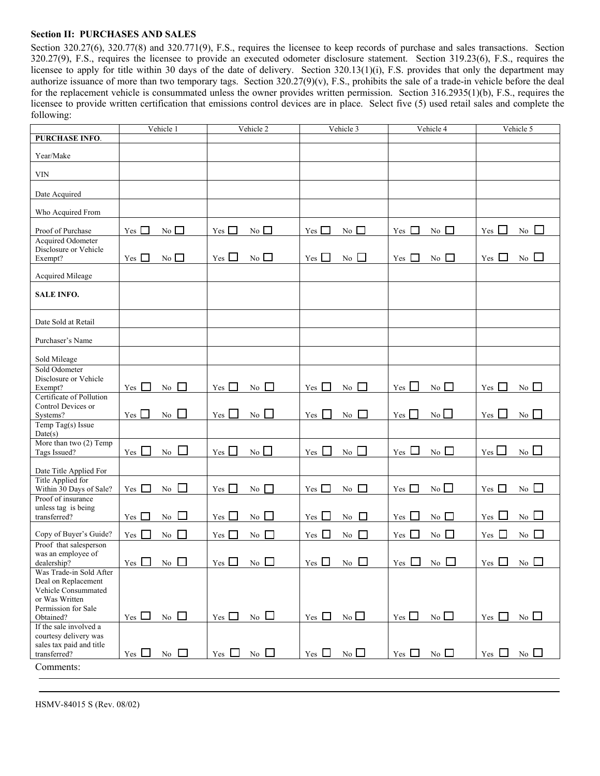### **Section II: PURCHASES AND SALES**

Section 320.27(6), 320.77(8) and 320.771(9), F.S., requires the licensee to keep records of purchase and sales transactions. Section 320.27(9), F.S., requires the licensee to provide an executed odometer disclosure statement. Section 319.23(6), F.S., requires the licensee to apply for title within 30 days of the date of delivery. Section 320.13(1)(i), F.S. provides that only the department may authorize issuance of more than two temporary tags. Section 320.27(9)(v), F.S., prohibits the sale of a trade-in vehicle before the deal for the replacement vehicle is consummated unless the owner provides written permission. Section 316.2935(1)(b), F.S., requires the licensee to provide written certification that emissions control devices are in place. Select five (5) used retail sales and complete the following:

|                                                                                                                | Vehicle 1                                       | Vehicle 2                             | Vehicle 3                                 | Vehicle 4                 | Vehicle 5                      |
|----------------------------------------------------------------------------------------------------------------|-------------------------------------------------|---------------------------------------|-------------------------------------------|---------------------------|--------------------------------|
| <b>PURCHASE INFO.</b>                                                                                          |                                                 |                                       |                                           |                           |                                |
| Year/Make                                                                                                      |                                                 |                                       |                                           |                           |                                |
| <b>VIN</b>                                                                                                     |                                                 |                                       |                                           |                           |                                |
| Date Acquired                                                                                                  |                                                 |                                       |                                           |                           |                                |
| Who Acquired From                                                                                              |                                                 |                                       |                                           |                           |                                |
| Proof of Purchase<br><b>Acquired Odometer</b>                                                                  | $Yes \Box$<br>$No$ $\Box$                       | No $\Box$<br>Yes $\Box$               | $Yes \square$<br>No $\Box$                | No $\Box$<br>Yes $\Box$   | $No$ $\Box$<br>Yes $\Box$      |
| Disclosure or Vehicle<br>Exempt?                                                                               | $No$ $\square$<br>Yes $\Box$                    | No<br>$Yes \Box$                      | Yes<br>No                                 | Yes $\Box$<br>$No$ $\Box$ | Yes $\Box$<br>$\overline{N_0}$ |
| Acquired Mileage                                                                                               |                                                 |                                       |                                           |                           |                                |
| <b>SALE INFO.</b>                                                                                              |                                                 |                                       |                                           |                           |                                |
| Date Sold at Retail                                                                                            |                                                 |                                       |                                           |                           |                                |
| Purchaser's Name                                                                                               |                                                 |                                       |                                           |                           |                                |
| Sold Mileage                                                                                                   |                                                 |                                       |                                           |                           |                                |
| Sold Odometer<br>Disclosure or Vehicle<br>Exempt?                                                              | Yes $\Box$<br>$\rm No$<br>$\Gamma$              | $Yes \Box$<br>No                      | No $\Box$<br>$Yes \Box$                   | No $\Box$<br>$Yes \Box$   | No<br>Yes<br>$\mathbf{I}$      |
| Certificate of Pollution<br>Control Devices or<br>Systems?                                                     | $Yes \Box$<br>$\Box$<br>No                      | $Yes \Box$<br>No                      | $\overline{N_0}$ $\Box$<br>Yes            | No<br>$Yes \Box$          | No<br>Yes                      |
| Temp Tag(s) Issue<br>Date(s)                                                                                   |                                                 |                                       |                                           |                           |                                |
| More than two (2) Temp<br>Tags Issued?                                                                         | $\mathcal{L}^{\mathcal{L}}$<br>$Yes \Box$<br>No | No<br>$\sim$<br>Yes                   | Yes $\Box$<br>No                          | $Yes \Box$<br>$No$ $\Box$ | No<br>$Yes \Box$               |
| Date Title Applied For<br>Title Applied for                                                                    |                                                 |                                       |                                           |                           |                                |
| Within 30 Days of Sale?<br>Proof of insurance                                                                  | Yes $\Box$<br>$\rm No$                          | Yes  <br>No<br>$\mathbf{L}$           | No $\Box$<br>$Yes \Box$                   | No<br>$Yes \Box$          | $No \Box$<br>Yes $\Box$        |
| unless tag is being<br>transferred?                                                                            | $\mathbf{1}$<br>No<br>$Yes \Box$                | $Yes \Box$<br>No                      | No $\Box$<br>$Yes \Box$                   | No $\Box$<br>$Yes \Box$   | $\overline{N_0}$<br>$Yes \Box$ |
| Copy of Buyer's Guide?                                                                                         | $Yes \Box$<br>□<br>$\rm No$                     | No<br>Yes $\Box$                      | Yes $\Box$<br>$\Box$<br>No.               | No $\Box$<br>$Yes \Box$   | Yes $\Box$<br>No               |
| Proof that salesperson<br>was an employee of<br>dealership?                                                    | $Yes \tNo \tN$                                  | $Yes$ No $\Box$                       | $Yes \Box No \Box \ \   Yes \Box No \Box$ |                           | $\Gamma$ Yes $\Box$ No $\Box$  |
| Was Trade-in Sold After<br>Deal on Replacement<br>Vehicle Consummated<br>or Was Written<br>Permission for Sale |                                                 |                                       |                                           |                           |                                |
| Obtained?<br>If the sale involved a<br>courtesy delivery was                                                   | $Y$ es $\Box$<br>No $\Box$                      | $\overline{N_0}$<br>Yes $\Box$        | $No \Box$<br>Yes $\Box$                   | No<br>$Yes \Box$          | $\overline{N_0}$<br>$Yes \Box$ |
| sales tax paid and title<br>transferred?                                                                       | $\mathbf{N}$ o $\Box$<br>Yes $\Box$             | $\overline{N_0}$ $\Box$<br>Yes $\Box$ | $No$ $\square$<br>Yes $\Box$              | No $\Box$<br>Yes $\Box$   | $Yes \Box$<br>$No$ $\Box$      |
| Comments:                                                                                                      |                                                 |                                       |                                           |                           |                                |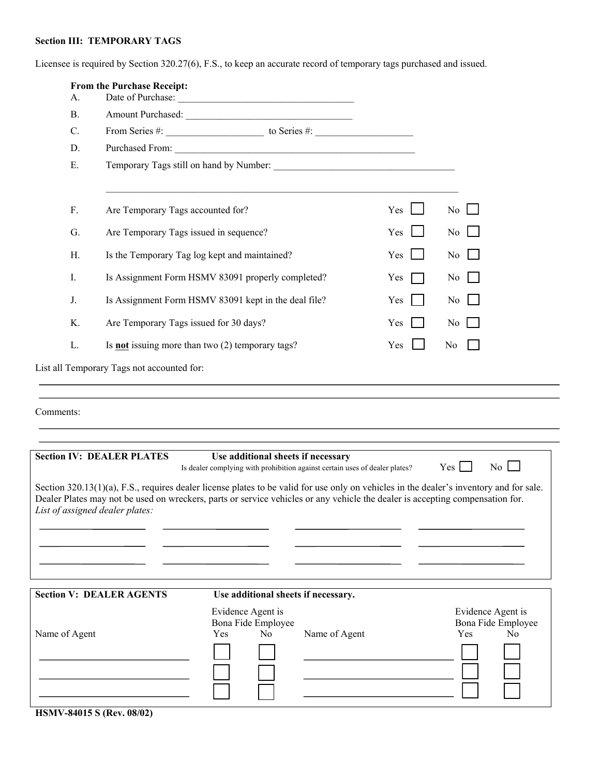# **Section III: TEMPORARY TAGS**

Licensee is required by Section 320.27(6), F.S., to keep an accurate record of temporary tags purchased and issued.

| A.            | From the Purchase Receipt:<br>Date of Purchase:                                                                                                                                |     |                                                           |                                                                                                                   |     |                                                                  |  |
|---------------|--------------------------------------------------------------------------------------------------------------------------------------------------------------------------------|-----|-----------------------------------------------------------|-------------------------------------------------------------------------------------------------------------------|-----|------------------------------------------------------------------|--|
| <b>B.</b>     |                                                                                                                                                                                |     |                                                           |                                                                                                                   |     |                                                                  |  |
| C.            | From Series #: $\qquad \qquad$ to Series #:                                                                                                                                    |     |                                                           |                                                                                                                   |     |                                                                  |  |
| D.            |                                                                                                                                                                                |     |                                                           |                                                                                                                   |     |                                                                  |  |
| E.            |                                                                                                                                                                                |     |                                                           |                                                                                                                   |     |                                                                  |  |
| F.            | Are Temporary Tags accounted for?                                                                                                                                              |     |                                                           |                                                                                                                   | Yes | N <sub>0</sub>                                                   |  |
| G.            | Are Temporary Tags issued in sequence?                                                                                                                                         |     |                                                           |                                                                                                                   | Yes | N <sub>0</sub>                                                   |  |
| Η.            | Is the Temporary Tag log kept and maintained?                                                                                                                                  |     |                                                           |                                                                                                                   | Yes | N <sub>0</sub>                                                   |  |
| $I_{\cdot}$   | Is Assignment Form HSMV 83091 properly completed?                                                                                                                              |     |                                                           |                                                                                                                   | Yes | No                                                               |  |
| J.            | Is Assignment Form HSMV 83091 kept in the deal file?                                                                                                                           |     |                                                           |                                                                                                                   | Yes | No                                                               |  |
| K.            | Are Temporary Tags issued for 30 days?                                                                                                                                         |     |                                                           |                                                                                                                   | Yes | No                                                               |  |
| L.            | Is <b>not</b> issuing more than two $(2)$ temporary tags?                                                                                                                      |     |                                                           |                                                                                                                   | Yes | No                                                               |  |
|               | List all Temporary Tags not accounted for:                                                                                                                                     |     |                                                           |                                                                                                                   |     |                                                                  |  |
|               |                                                                                                                                                                                |     |                                                           |                                                                                                                   |     |                                                                  |  |
| Comments:     | <b>Section IV: DEALER PLATES</b><br>Section $320.13(1)(a)$ , F.S., requires dealer license plates to be valid for use only on vehicles in the dealer's inventory and for sale. |     |                                                           | Use additional sheets if necessary<br>Is dealer complying with prohibition against certain uses of dealer plates? |     | No<br>$Yes$ $\Box$                                               |  |
|               | Dealer Plates may not be used on wreckers, parts or service vehicles or any vehicle the dealer is accepting compensation for.<br>List of assigned dealer plates:               |     |                                                           |                                                                                                                   |     |                                                                  |  |
|               | <b>Section V: DEALER AGENTS</b>                                                                                                                                                |     |                                                           | Use additional sheets if necessary.                                                                               |     |                                                                  |  |
| Name of Agent |                                                                                                                                                                                | Yes | Evidence Agent is<br>Bona Fide Employee<br>N <sub>0</sub> | Name of Agent                                                                                                     |     | Evidence Agent is<br>Bona Fide Employee<br>Yes<br>N <sub>0</sub> |  |

**HSMV-84015 S (Rev. 08/02)**